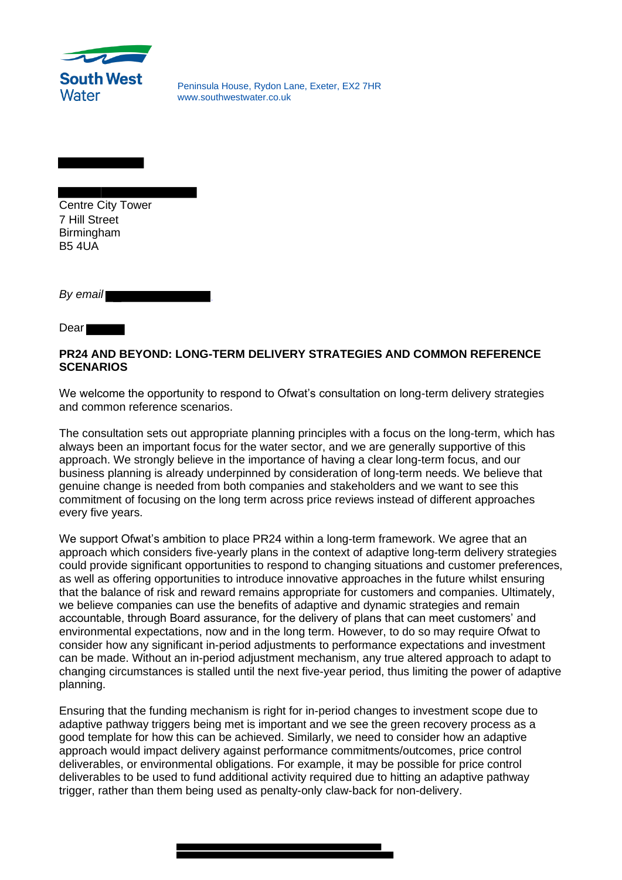

Peninsula House, Rydon Lane, Exeter, EX2 7HR www.southwestwater.co.uk

Centre City Tower 7 Hill Street Birmingham B5 4UA

*By email* 

Dear

## **PR24 AND BEYOND: LONG-TERM DELIVERY STRATEGIES AND COMMON REFERENCE SCENARIOS**

We welcome the opportunity to respond to Ofwat's consultation on long-term delivery strategies and common reference scenarios.

The consultation sets out appropriate planning principles with a focus on the long-term, which has always been an important focus for the water sector, and we are generally supportive of this approach. We strongly believe in the importance of having a clear long-term focus, and our business planning is already underpinned by consideration of long-term needs. We believe that genuine change is needed from both companies and stakeholders and we want to see this commitment of focusing on the long term across price reviews instead of different approaches every five years.

We support Ofwat's ambition to place PR24 within a long-term framework. We agree that an approach which considers five-yearly plans in the context of adaptive long-term delivery strategies could provide significant opportunities to respond to changing situations and customer preferences, as well as offering opportunities to introduce innovative approaches in the future whilst ensuring that the balance of risk and reward remains appropriate for customers and companies. Ultimately, we believe companies can use the benefits of adaptive and dynamic strategies and remain accountable, through Board assurance, for the delivery of plans that can meet customers' and environmental expectations, now and in the long term. However, to do so may require Ofwat to consider how any significant in-period adjustments to performance expectations and investment can be made. Without an in-period adjustment mechanism, any true altered approach to adapt to changing circumstances is stalled until the next five-year period, thus limiting the power of adaptive planning.

Ensuring that the funding mechanism is right for in-period changes to investment scope due to adaptive pathway triggers being met is important and we see the green recovery process as a good template for how this can be achieved. Similarly, we need to consider how an adaptive approach would impact delivery against performance commitments/outcomes, price control deliverables, or environmental obligations. For example, it may be possible for price control deliverables to be used to fund additional activity required due to hitting an adaptive pathway trigger, rather than them being used as penalty-only claw-back for non-delivery.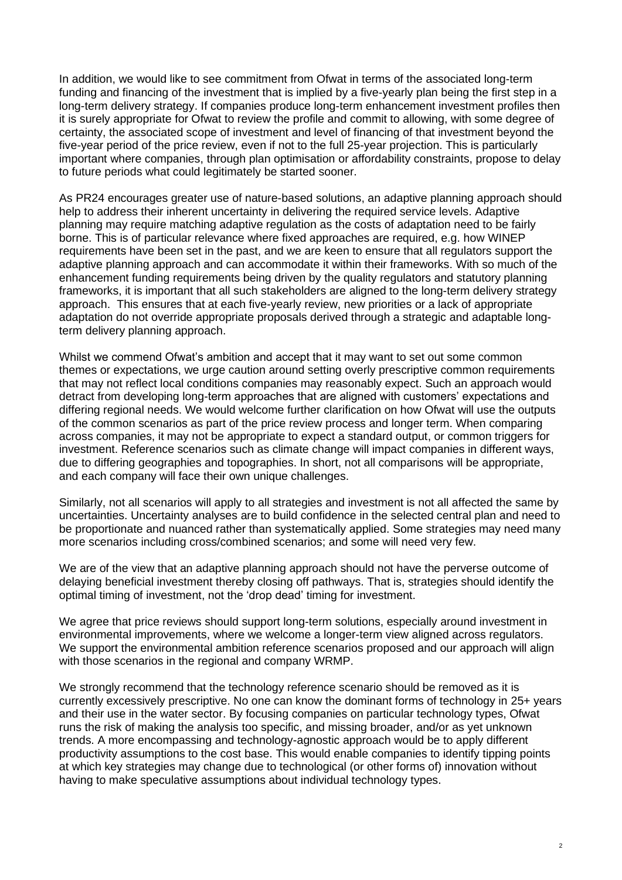In addition, we would like to see commitment from Ofwat in terms of the associated long-term funding and financing of the investment that is implied by a five-yearly plan being the first step in a long-term delivery strategy. If companies produce long-term enhancement investment profiles then it is surely appropriate for Ofwat to review the profile and commit to allowing, with some degree of certainty, the associated scope of investment and level of financing of that investment beyond the five-year period of the price review, even if not to the full 25-year projection. This is particularly important where companies, through plan optimisation or affordability constraints, propose to delay to future periods what could legitimately be started sooner.

As PR24 encourages greater use of nature-based solutions, an adaptive planning approach should help to address their inherent uncertainty in delivering the required service levels. Adaptive planning may require matching adaptive regulation as the costs of adaptation need to be fairly borne. This is of particular relevance where fixed approaches are required, e.g. how WINEP requirements have been set in the past, and we are keen to ensure that all regulators support the adaptive planning approach and can accommodate it within their frameworks. With so much of the enhancement funding requirements being driven by the quality regulators and statutory planning frameworks, it is important that all such stakeholders are aligned to the long-term delivery strategy approach. This ensures that at each five-yearly review, new priorities or a lack of appropriate adaptation do not override appropriate proposals derived through a strategic and adaptable longterm delivery planning approach.

Whilst we commend Ofwat's ambition and accept that it may want to set out some common themes or expectations, we urge caution around setting overly prescriptive common requirements that may not reflect local conditions companies may reasonably expect. Such an approach would detract from developing long-term approaches that are aligned with customers' expectations and differing regional needs. We would welcome further clarification on how Ofwat will use the outputs of the common scenarios as part of the price review process and longer term. When comparing across companies, it may not be appropriate to expect a standard output, or common triggers for investment. Reference scenarios such as climate change will impact companies in different ways, due to differing geographies and topographies. In short, not all comparisons will be appropriate, and each company will face their own unique challenges.

Similarly, not all scenarios will apply to all strategies and investment is not all affected the same by uncertainties. Uncertainty analyses are to build confidence in the selected central plan and need to be proportionate and nuanced rather than systematically applied. Some strategies may need many more scenarios including cross/combined scenarios; and some will need very few.

We are of the view that an adaptive planning approach should not have the perverse outcome of delaying beneficial investment thereby closing off pathways. That is, strategies should identify the optimal timing of investment, not the 'drop dead' timing for investment.

We agree that price reviews should support long-term solutions, especially around investment in environmental improvements, where we welcome a longer-term view aligned across regulators. We support the environmental ambition reference scenarios proposed and our approach will align with those scenarios in the regional and company WRMP.

We strongly recommend that the technology reference scenario should be removed as it is currently excessively prescriptive. No one can know the dominant forms of technology in 25+ years and their use in the water sector. By focusing companies on particular technology types, Ofwat runs the risk of making the analysis too specific, and missing broader, and/or as yet unknown trends. A more encompassing and technology-agnostic approach would be to apply different productivity assumptions to the cost base. This would enable companies to identify tipping points at which key strategies may change due to technological (or other forms of) innovation without having to make speculative assumptions about individual technology types.